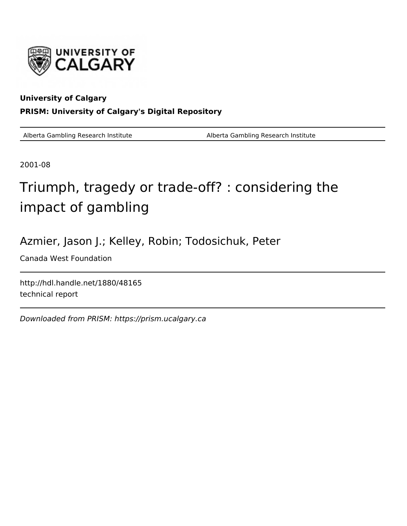

### **University of Calgary PRISM: University of Calgary's Digital Repository**

Alberta Gambling Research Institute Alberta Gambling Research Institute

2001-08

# Triumph, tragedy or trade-off? : considering the impact of gambling

## Azmier, Jason J.; Kelley, Robin; Todosichuk, Peter

Canada West Foundation

http://hdl.handle.net/1880/48165 technical report

Downloaded from PRISM: https://prism.ucalgary.ca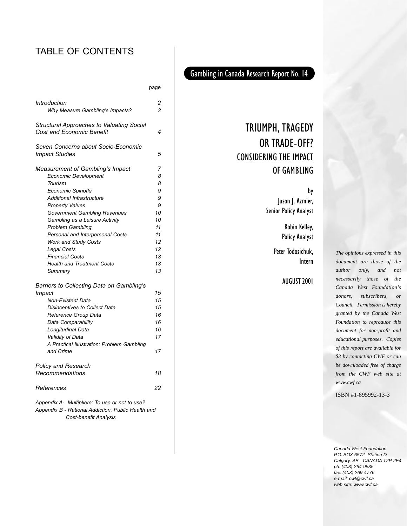### TABLE OF CONTENTS

| ٧ | <br>× | ł<br>۰.<br>× |
|---|-------|--------------|

| Introduction<br>Why Measure Gambling's Impacts?                                      | 2<br>2 |
|--------------------------------------------------------------------------------------|--------|
| <b>Structural Approaches to Valuating Social</b><br><b>Cost and Economic Benefit</b> | 4      |
| Seven Concerns about Socio-Economic<br><b>Impact Studies</b>                         | 5      |
| Measurement of Gambling's Impact                                                     | 7      |
| <b>Economic Development</b>                                                          | 8      |
| Tourism                                                                              | 8      |
| <b>Economic Spinoffs</b>                                                             | 9      |
| <b>Additional Infrastructure</b>                                                     | g      |
| <b>Property Values</b>                                                               | 9      |
| <b>Government Gambling Revenues</b>                                                  | 10     |
| Gambling as a Leisure Activity                                                       | 10     |
| <b>Problem Gambling</b>                                                              | 11     |
| Personal and Interpersonal Costs                                                     | 11     |
| <b>Work and Study Costs</b>                                                          | 12     |
| Legal Costs                                                                          | 12     |
| <b>Financial Costs</b>                                                               | 13     |
| <b>Health and Treatment Costs</b>                                                    | 13     |
| Summary                                                                              | 13     |
| Barriers to Collecting Data on Gambling's                                            |        |
| Impact                                                                               | 15     |
| <b>Non-Existent Data</b>                                                             | 15     |
| <b>Disincentives to Collect Data</b>                                                 | 15     |
| Reference Group Data                                                                 | 16     |
| Data Comparability                                                                   | 16     |
| Longitudinal Data                                                                    | 16     |
| Validity of Data                                                                     | 17     |
| A Practical Illustration: Problem Gambling                                           |        |
| and Crime                                                                            | 17     |
| <b>Policy and Research</b>                                                           |        |
| Recommendations                                                                      | 18     |
| References                                                                           | 22     |
| Annendix A Multipliers: To use or not to use?                                        |        |

*Appendix A- Multipliers: To use or not to use? Appendix B - Rational Addiction, Public Health and Cost-benefit Analysis* 

### Gambling in Canada Research Report No. 14

## TRIUMPH, TRAGEDY OR TRADE-OFF? CONSIDERING THE IMPACT OF GAMBLING

by

Jason J. Azmier, Senior Policy Analyst

> Robin Kelley, Policy Analyst

Peter Todosichuk, Intern

### AUGUST 2001

*The opinions expressed in this document are those of the author only, and not necessarily those of the Canada West Foundation's donors, subscribers, or Council. Permission is hereby granted by the Canada West Foundation to reproduce this document for non-profit and educational purposes. Copies of this report are available for \$3 by contacting CWF or can be downloaded free of charge from the CWF web site at www.cwf.ca*

ISBN #1-895992-13-3

Canada West Foundation P.O. BOX 6572 Station D Calgary, AB CANADA T2P 2E4 ph: (403) 264-9535 fax: (403) 269-4776 e-mail: cwf@cwf.ca web site: www.cwf.ca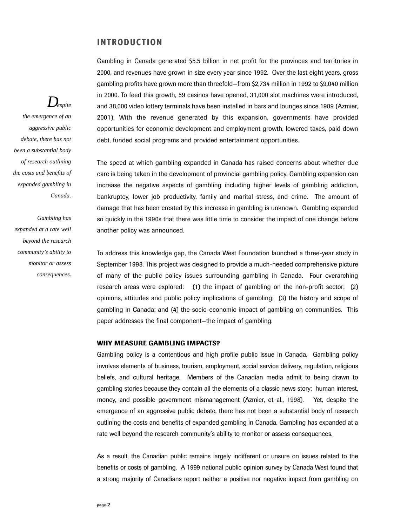### **INTRODUCTION**

Gambling in Canada generated \$5.5 billion in net profit for the provinces and territories in 2000, and revenues have grown in size every year since 1992. Over the last eight years, gross gambling profits have grown more than threefold—from \$2,734 million in 1992 to \$9,040 million in 2000. To feed this growth, 59 casinos have opened, 31,000 slot machines were introduced, and 38,000 video lottery terminals have been installed in bars and lounges since 1989 (Azmier, 2001). With the revenue generated by this expansion, governments have provided opportunities for economic development and employment growth, lowered taxes, paid down debt, funded social programs and provided entertainment opportunities.

The speed at which gambling expanded in Canada has raised concerns about whether due care is being taken in the development of provincial gambling policy. Gambling expansion can increase the negative aspects of gambling including higher levels of gambling addiction, bankruptcy, lower job productivity, family and marital stress, and crime. The amount of damage that has been created by this increase in gambling is unknown. Gambling expanded so quickly in the 1990s that there was little time to consider the impact of one change before another policy was announced.

To address this knowledge gap, the Canada West Foundation launched a three-year study in September 1998. This project was designed to provide a much-needed comprehensive picture of many of the public policy issues surrounding gambling in Canada. Four overarching research areas were explored: (1) the impact of gambling on the non-profit sector; (2) opinions, attitudes and public policy implications of gambling; (3) the history and scope of gambling in Canada; and (4) the socio-economic impact of gambling on communities. This paper addresses the final component—the impact of gambling.

### **WHY MEASURE GAMBLING IMPACTS?**

Gambling policy is a contentious and high profile public issue in Canada. Gambling policy involves elements of business, tourism, employment, social service delivery, regulation, religious beliefs, and cultural heritage. Members of the Canadian media admit to being drawn to gambling stories because they contain all the elements of a classic news story: human interest, money, and possible government mismanagement (Azmier, et al., 1998). Yet, despite the emergence of an aggressive public debate, there has not been a substantial body of research outlining the costs and benefits of expanded gambling in Canada. Gambling has expanded at a rate well beyond the research community's ability to monitor or assess consequences.

As a result, the Canadian public remains largely indifferent or unsure on issues related to the benefits or costs of gambling. A 1999 national public opinion survey by Canada West found that a strong majority of Canadians report neither a positive nor negative impact from gambling on

## *Despite*

*the emergence of an aggressive public debate, there has not been a substantial body of research outlining the costs and benefits of expanded gambling in Canada.*

*Gambling has expanded at a rate well beyond the research community's ability to monitor or assess consequences.*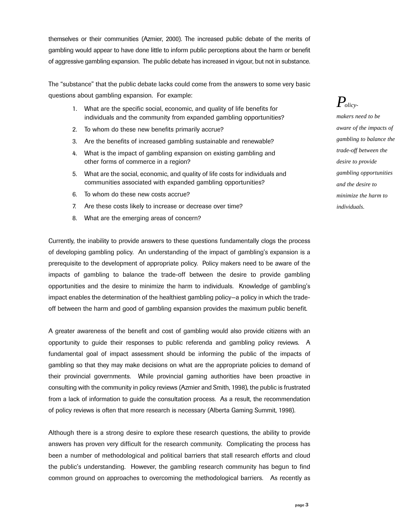themselves or their communities (Azmier, 2000). The increased public debate of the merits of gambling would appear to have done little to inform public perceptions about the harm or benefit of aggressive gambling expansion. The public debate has increased in vigour, but not in substance.

The "substance" that the public debate lacks could come from the answers to some very basic questions about gambling expansion. For example:

- 1. What are the specific social, economic, and quality of life benefits for individuals and the community from expanded gambling opportunities?
- 2. To whom do these new benefits primarily accrue?
- 3. Are the benefits of increased gambling sustainable and renewable?
- 4. What is the impact of gambling expansion on existing gambling and other forms of commerce in a region?
- 5. What are the social, economic, and quality of life costs for individuals and communities associated with expanded gambling opportunities?
- 6. To whom do these new costs accrue?
- 7. Are these costs likely to increase or decrease over time?
- 8. What are the emerging areas of concern?

Currently, the inability to provide answers to these questions fundamentally clogs the process of developing gambling policy. An understanding of the impact of gambling's expansion is a prerequisite to the development of appropriate policy. Policy makers need to be aware of the impacts of gambling to balance the trade-off between the desire to provide gambling opportunities and the desire to minimize the harm to individuals. Knowledge of gambling's impact enables the determination of the healthiest gambling policy—a policy in which the tradeoff between the harm and good of gambling expansion provides the maximum public benefit.

A greater awareness of the benefit and cost of gambling would also provide citizens with an opportunity to guide their responses to public referenda and gambling policy reviews. A fundamental goal of impact assessment should be informing the public of the impacts of gambling so that they may make decisions on what are the appropriate policies to demand of their provincial governments. While provincial gaming authorities have been proactive in consulting with the community in policy reviews (Azmier and Smith, 1998), the public is frustrated from a lack of information to guide the consultation process. As a result, the recommendation of policy reviews is often that more research is necessary (Alberta Gaming Summit, 1998).

Although there is a strong desire to explore these research questions, the ability to provide answers has proven very difficult for the research community. Complicating the process has been a number of methodological and political barriers that stall research efforts and cloud the public's understanding. However, the gambling research community has begun to find common ground on approaches to overcoming the methodological barriers. As recently as *Policy-*

*makers need to be aware of the impacts of gambling to balance the trade-off between the desire to provide gambling opportunities and the desire to minimize the harm to individuals.*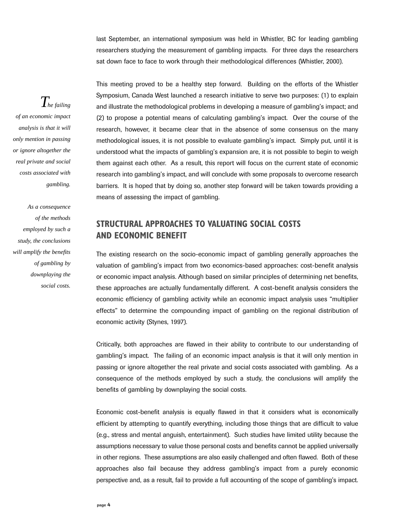last September, an international symposium was held in Whistler, BC for leading gambling researchers studying the measurement of gambling impacts. For three days the researchers sat down face to face to work through their methodological differences (Whistler, 2000).

This meeting proved to be a healthy step forward. Building on the efforts of the Whistler Symposium, Canada West launched a research initiative to serve two purposes: (1) to explain and illustrate the methodological problems in developing a measure of gambling's impact; and (2) to propose a potential means of calculating gambling's impact. Over the course of the research, however, it became clear that in the absence of some consensus on the many methodological issues, it is not possible to evaluate gambling's impact. Simply put, until it is understood what the impacts of gambling's expansion are, it is not possible to begin to weigh them against each other. As a result, this report will focus on the current state of economic research into gambling's impact, and will conclude with some proposals to overcome research barriers. It is hoped that by doing so, another step forward will be taken towards providing a means of assessing the impact of gambling.

### **STRUCTURAL APPROACHES TO VALUATING SOCIAL COSTS AND ECONOMIC BENEFIT**

The existing research on the socio-economic impact of gambling generally approaches the valuation of gambling's impact from two economics-based approaches: cost-benefit analysis or economic impact analysis. Although based on similar principles of determining net benefits, these approaches are actually fundamentally different. A cost-benefit analysis considers the economic efficiency of gambling activity while an economic impact analysis uses "multiplier effects" to determine the compounding impact of gambling on the regional distribution of economic activity (Stynes, 1997).

Critically, both approaches are flawed in their ability to contribute to our understanding of gambling's impact. The failing of an economic impact analysis is that it will only mention in passing or ignore altogether the real private and social costs associated with gambling. As a consequence of the methods employed by such a study, the conclusions will amplify the benefits of gambling by downplaying the social costs.

Economic cost-benefit analysis is equally flawed in that it considers what is economically efficient by attempting to quantify everything, including those things that are difficult to value (e.g., stress and mental anguish, entertainment). Such studies have limited utility because the assumptions necessary to value those personal costs and benefits cannot be applied universally in other regions. These assumptions are also easily challenged and often flawed. Both of these approaches also fail because they address gambling's impact from a purely economic perspective and, as a result, fail to provide a full accounting of the scope of gambling's impact.

*The failing of an economic impact analysis is that it will only mention in passing or ignore altogether the real private and social costs associated with gambling.* 

*As a consequence of the methods employed by such a study, the conclusions will amplify the benefits of gambling by downplaying the social costs.*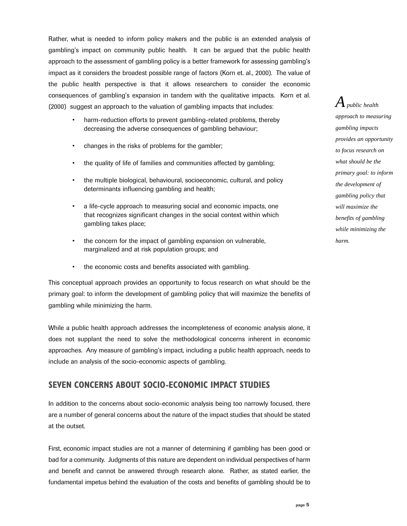Rather, what is needed to inform policy makers and the public is an extended analysis of gambling's impact on community public health. It can be argued that the public health approach to the assessment of gambling policy is a better framework for assessing gambling's impact as it considers the broadest possible range of factors (Korn et. al., 2000). The value of the public health perspective is that it allows researchers to consider the economic consequences of gambling's expansion in tandem with the qualitative impacts. Korn et al. (2000) suggest an approach to the valuation of gambling impacts that includes:

- harm-reduction efforts to prevent gambling-related problems, thereby decreasing the adverse consequences of gambling behaviour;
- changes in the risks of problems for the gambler;
- the quality of life of families and communities affected by gambling;
- the multiple biological, behavioural, socioeconomic, cultural, and policy determinants influencing gambling and health;
- a life-cycle approach to measuring social and economic impacts, one that recognizes significant changes in the social context within which gambling takes place;
- the concern for the impact of gambling expansion on vulnerable, marginalized and at risk population groups; and
- the economic costs and benefits associated with gambling.

This conceptual approach provides an opportunity to focus research on what should be the primary goal: to inform the development of gambling policy that will maximize the benefits of gambling while minimizing the harm.

While a public health approach addresses the incompleteness of economic analysis alone, it does not supplant the need to solve the methodological concerns inherent in economic approaches. Any measure of gambling's impact, including a public health approach, needs to include an analysis of the socio-economic aspects of gambling.

### **SEVEN CONCERNS ABOUT SOCIO-ECONOMIC IMPACT STUDIES**

In addition to the concerns about socio-economic analysis being too narrowly focused, there are a number of general concerns about the nature of the impact studies that should be stated at the outset.

First, economic impact studies are not a manner of determining if gambling has been good or bad for a community. Judgments of this nature are dependent on individual perspectives of harm and benefit and cannot be answered through research alone. Rather, as stated earlier, the fundamental impetus behind the evaluation of the costs and benefits of gambling should be to

 $A$  public health *approach to measuring gambling impacts provides an opportunity to focus research on what should be the primary goal: to inform the development of gambling policy that will maximize the benefits of gambling while minimizing the harm.*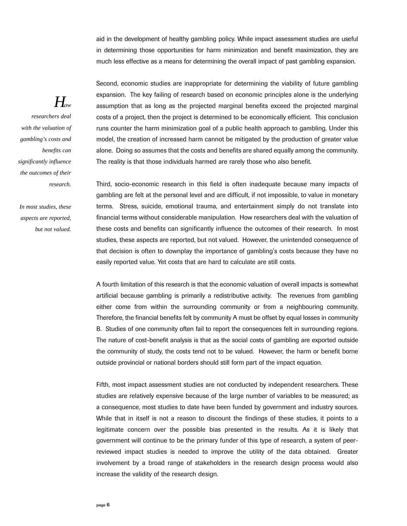aid in the development of healthy gambling policy. While impact assessment studies are useful in determining those opportunities for harm minimization and benefit maximization, they are much less effective as a means for determining the overall impact of past gambling expansion.

Second, economic studies are inappropriate for determining the viability of future gambling expansion. The key failing of research based on economic principles alone is the underlying assumption that as long as the projected marginal benefits exceed the projected marginal costs of a project, then the project is determined to be economically efficient. This conclusion runs counter the harm minimization goal of a public health approach to gambling. Under this model, the creation of increased harm cannot be mitigated by the production of greater value alone. Doing so assumes that the costs and benefits are shared equally among the community. The reality is that those individuals harmed are rarely those who also benefit.

Third, socio-economic research in this field is often inadequate because many impacts of gambling are felt at the personal level and are difficult, if not impossible, to value in monetary terms. Stress, suicide, emotional trauma, and entertainment simply do not translate into financial terms without considerable manipulation. How researchers deal with the valuation of these costs and benefits can significantly influence the outcomes of their research. In most studies, these aspects are reported, but not valued. However, the unintended consequence of that decision is often to downplay the importance of gambling's costs because they have no easily reported value. Yet costs that are hard to calculate are still costs.

A fourth limitation of this research is that the economic valuation of overall impacts is somewhat artificial because gambling is primarily a redistributive activity. The revenues from gambling either come from within the surrounding community or from a neighbouring community. Therefore, the financial benefits felt by community A must be offset by equal losses in community B. Studies of one community often fail to report the consequences felt in surrounding regions. The nature of cost-benefit analysis is that as the social costs of gambling are exported outside the community of study, the costs tend not to be valued. However, the harm or benefit borne outside provincial or national borders should still form part of the impact equation.

Fifth, most impact assessment studies are not conducted by independent researchers. These studies are relatively expensive because of the large number of variables to be measured; as a consequence, most studies to date have been funded by government and industry sources. While that in itself is not a reason to discount the findings of these studies, it points to a legitimate concern over the possible bias presented in the results. As it is likely that government will continue to be the primary funder of this type of research, a system of peerreviewed impact studies is needed to improve the utility of the data obtained. Greater involvement by a broad range of stakeholders in the research design process would also increase the validity of the research design.

## *How*

*researchers deal with the valuation of gambling's costs and benefits can significantly influence the outcomes of their research.* 

*In most studies, these aspects are reported, but not valued.*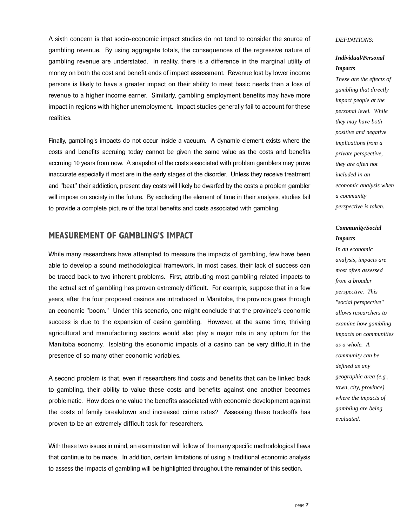A sixth concern is that socio-economic impact studies do not tend to consider the source of gambling revenue. By using aggregate totals, the consequences of the regressive nature of gambling revenue are understated. In reality, there is a difference in the marginal utility of money on both the cost and benefit ends of impact assessment. Revenue lost by lower income persons is likely to have a greater impact on their ability to meet basic needs than a loss of revenue to a higher income earner. Similarly, gambling employment benefits may have more impact in regions with higher unemployment. Impact studies generally fail to account for these realities.

Finally, gambling's impacts do not occur inside a vacuum. A dynamic element exists where the costs and benefits accruing today cannot be given the same value as the costs and benefits accruing 10 years from now. A snapshot of the costs associated with problem gamblers may prove inaccurate especially if most are in the early stages of the disorder. Unless they receive treatment and "beat" their addiction, present day costs will likely be dwarfed by the costs a problem gambler will impose on society in the future. By excluding the element of time in their analysis, studies fail to provide a complete picture of the total benefits and costs associated with gambling.

### **MEASUREMENT OF GAMBLING'S IMPACT**

While many researchers have attempted to measure the impacts of gambling, few have been able to develop a sound methodological framework. In most cases, their lack of success can be traced back to two inherent problems. First, attributing most gambling related impacts to the actual act of gambling has proven extremely difficult. For example, suppose that in a few years, after the four proposed casinos are introduced in Manitoba, the province goes through an economic "boom." Under this scenario, one might conclude that the province's economic success is due to the expansion of casino gambling. However, at the same time, thriving agricultural and manufacturing sectors would also play a major role in any upturn for the Manitoba economy. Isolating the economic impacts of a casino can be very difficult in the presence of so many other economic variables.

A second problem is that, even if researchers find costs and benefits that can be linked back to gambling, their ability to value these costs and benefits against one another becomes problematic. How does one value the benefits associated with economic development against the costs of family breakdown and increased crime rates? Assessing these tradeoffs has proven to be an extremely difficult task for researchers.

With these two issues in mind, an examination will follow of the many specific methodological flaws that continue to be made. In addition, certain limitations of using a traditional economic analysis to assess the impacts of gambling will be highlighted throughout the remainder of this section.

### *DEFINITIONS:*

### *Individual/Personal Impacts*

*These are the effects of gambling that directly impact people at the personal level. While they may have both positive and negative implications from a private perspective, they are often not included in an economic analysis when a community perspective is taken.*

### *Community/Social Impacts*

*In an economic analysis, impacts are most often assessed from a broader perspective. This "social perspective" allows researchers to examine how gambling impacts on communities as a whole. A community can be defined as any geographic area (e.g., town, city, province) where the impacts of gambling are being evaluated.*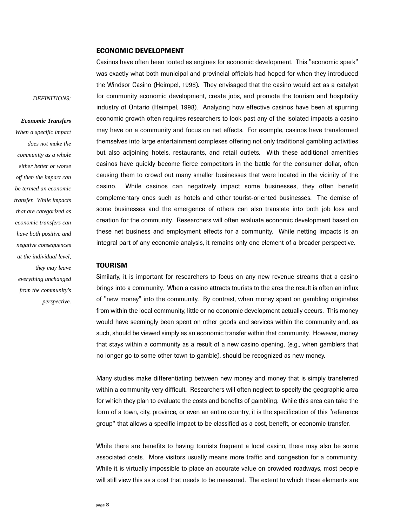### **ECONOMIC DEVELOPMENT**

*DEFINITIONS:*

### *Economic Transfers*

*When a specific impact does not make the community as a whole either better or worse off then the impact can be termed an economic transfer. While impacts that are categorized as economic transfers can have both positive and negative consequences at the individual level, they may leave everything unchanged from the community's perspective.* Casinos have often been touted as engines for economic development. This "economic spark" was exactly what both municipal and provincial officials had hoped for when they introduced the Windsor Casino (Heimpel, 1998). They envisaged that the casino would act as a catalyst for community economic development, create jobs, and promote the tourism and hospitality industry of Ontario (Heimpel, 1998). Analyzing how effective casinos have been at spurring economic growth often requires researchers to look past any of the isolated impacts a casino may have on a community and focus on net effects. For example, casinos have transformed themselves into large entertainment complexes offering not only traditional gambling activities but also adjoining hotels, restaurants, and retail outlets. With these additional amenities casinos have quickly become fierce competitors in the battle for the consumer dollar, often causing them to crowd out many smaller businesses that were located in the vicinity of the casino. While casinos can negatively impact some businesses, they often benefit complementary ones such as hotels and other tourist-oriented businesses. The demise of some businesses and the emergence of others can also translate into both job loss and creation for the community. Researchers will often evaluate economic development based on these net business and employment effects for a community. While netting impacts is an integral part of any economic analysis, it remains only one element of a broader perspective.

#### **TOURISM**

Similarly, it is important for researchers to focus on any new revenue streams that a casino brings into a community. When a casino attracts tourists to the area the result is often an influx of "new money" into the community. By contrast, when money spent on gambling originates from within the local community, little or no economic development actually occurs. This money would have seemingly been spent on other goods and services within the community and, as such, should be viewed simply as an economic transfer within that community. However, money that stays within a community as a result of a new casino opening, (e.g., when gamblers that no longer go to some other town to gamble), should be recognized as new money.

Many studies make differentiating between new money and money that is simply transferred within a community very difficult. Researchers will often neglect to specify the geographic area for which they plan to evaluate the costs and benefits of gambling. While this area can take the form of a town, city, province, or even an entire country, it is the specification of this "reference group" that allows a specific impact to be classified as a cost, benefit, or economic transfer.

While there are benefits to having tourists frequent a local casino, there may also be some associated costs. More visitors usually means more traffic and congestion for a community. While it is virtually impossible to place an accurate value on crowded roadways, most people will still view this as a cost that needs to be measured. The extent to which these elements are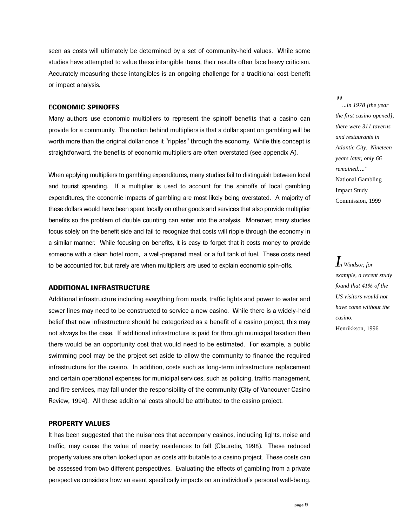seen as costs will ultimately be determined by a set of community-held values. While some studies have attempted to value these intangible items, their results often face heavy criticism. Accurately measuring these intangibles is an ongoing challenge for a traditional cost-benefit or impact analysis.

### **ECONOMIC SPINOFFS**

Many authors use economic multipliers to represent the spinoff benefits that a casino can provide for a community. The notion behind multipliers is that a dollar spent on gambling will be worth more than the original dollar once it "ripples" through the economy. While this concept is straightforward, the benefits of economic multipliers are often overstated (see appendix A).

When applying multipliers to gambling expenditures, many studies fail to distinguish between local and tourist spending. If a multiplier is used to account for the spinoffs of local gambling expenditures, the economic impacts of gambling are most likely being overstated. A majority of these dollars would have been spent locally on other goods and services that also provide multiplier benefits so the problem of double counting can enter into the analysis. Moreover, many studies focus solely on the benefit side and fail to recognize that costs will ripple through the economy in a similar manner. While focusing on benefits, it is easy to forget that it costs money to provide someone with a clean hotel room, a well-prepared meal, or a full tank of fuel. These costs need to be accounted for, but rarely are when multipliers are used to explain economic spin-offs.

### **ADDITIONAL INFRASTRUCTURE**

Additional infrastructure including everything from roads, traffic lights and power to water and sewer lines may need to be constructed to service a new casino. While there is a widely-held belief that new infrastructure should be categorized as a benefit of a casino project, this may not always be the case. If additional infrastructure is paid for through municipal taxation then there would be an opportunity cost that would need to be estimated. For example, a public swimming pool may be the project set aside to allow the community to finance the required infrastructure for the casino. In addition, costs such as long-term infrastructure replacement and certain operational expenses for municipal services, such as policing, traffic management, and fire services, may fall under the responsibility of the community (City of Vancouver Casino Review, 1994). All these additional costs should be attributed to the casino project.

### **PROPERTY VALUES**

It has been suggested that the nuisances that accompany casinos, including lights, noise and traffic, may cause the value of nearby residences to fall (Clauretie, 1998). These reduced property values are often looked upon as costs attributable to a casino project. These costs can be assessed from two different perspectives. Evaluating the effects of gambling from a private perspective considers how an event specifically impacts on an individual's personal well-being.

#### *"*

*...in 1978 [the year the first casino opened], there were 311 taverns and restaurants in Atlantic City. Nineteen years later, only 66 remained…."* National Gambling Impact Study Commission, 1999

### *In Windsor, for example, a recent study found that 41% of the US visitors would not have come without the casino.*  Henrikkson, 1996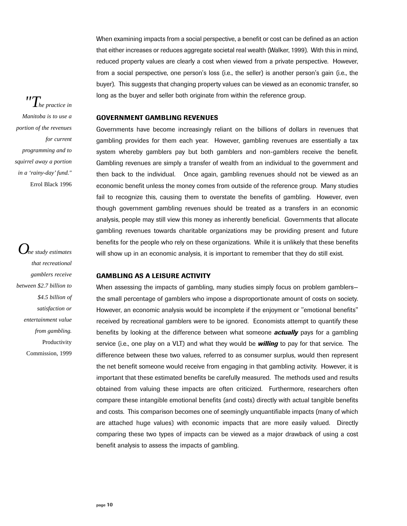When examining impacts from a social perspective, a benefit or cost can be defined as an action that either increases or reduces aggregate societal real wealth (Walker, 1999). With this in mind, reduced property values are clearly a cost when viewed from a private perspective. However, from a social perspective, one person's loss (i.e., the seller) is another person's gain (i.e., the buyer). This suggests that changing property values can be viewed as an economic transfer, so long as the buyer and seller both originate from within the reference group.

### **GOVERNMENT GAMBLING REVENUES**

Governments have become increasingly reliant on the billions of dollars in revenues that gambling provides for them each year. However, gambling revenues are essentially a tax system whereby gamblers pay but both gamblers and non-gamblers receive the benefit. Gambling revenues are simply a transfer of wealth from an individual to the government and then back to the individual. Once again, gambling revenues should not be viewed as an economic benefit unless the money comes from outside of the reference group. Many studies fail to recognize this, causing them to overstate the benefits of gambling. However, even though government gambling revenues should be treated as a transfers in an economic analysis, people may still view this money as inherently beneficial. Governments that allocate gambling revenues towards charitable organizations may be providing present and future benefits for the people who rely on these organizations. While it is unlikely that these benefits will show up in an economic analysis, it is important to remember that they do still exist.

### **GAMBLING AS A LEISURE ACTIVITY**

When assessing the impacts of gambling, many studies simply focus on problem gamblers– the small percentage of gamblers who impose a disproportionate amount of costs on society. However, an economic analysis would be incomplete if the enjoyment or "emotional benefits" received by recreational gamblers were to be ignored. Economists attempt to quantify these benefits by looking at the difference between what someone *actually* pays for a gambling service (i.e., one play on a VLT) and what they would be *willing* to pay for that service. The difference between these two values, referred to as consumer surplus, would then represent the net benefit someone would receive from engaging in that gambling activity. However, it is important that these estimated benefits be carefully measured. The methods used and results obtained from valuing these impacts are often criticized. Furthermore, researchers often compare these intangible emotional benefits (and costs) directly with actual tangible benefits and costs. This comparison becomes one of seemingly unquantifiable impacts (many of which are attached huge values) with economic impacts that are more easily valued. Directly comparing these two types of impacts can be viewed as a major drawback of using a cost benefit analysis to assess the impacts of gambling.

*"The practice in Manitoba is to use a portion of the revenues for current programming and to squirrel away a portion in a 'rainy-day' fund."* Errol Black 1996

*One study estimates that recreational gamblers receive between \$2.7 billion to \$4.5 billion of satisfaction or entertainment value from gambling.* Productivity Commission, 1999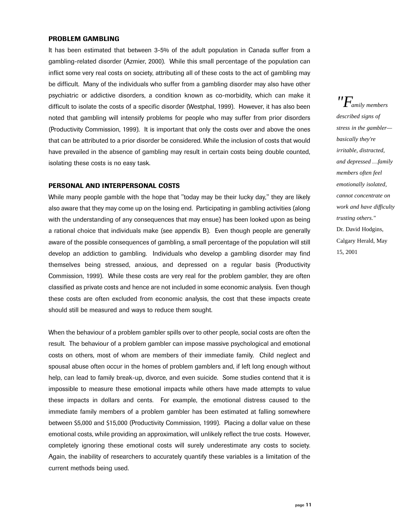#### **PROBLEM GAMBLING**

It has been estimated that between 3-5% of the adult population in Canada suffer from a gambling-related disorder (Azmier, 2000). While this small percentage of the population can inflict some very real costs on society, attributing all of these costs to the act of gambling may be difficult. Many of the individuals who suffer from a gambling disorder may also have other psychiatric or addictive disorders, a condition known as co-morbidity, which can make it difficult to isolate the costs of a specific disorder (Westphal, 1999). However, it has also been noted that gambling will intensify problems for people who may suffer from prior disorders (Productivity Commission, 1999). It is important that only the costs over and above the ones that can be attributed to a prior disorder be considered. While the inclusion of costs that would have prevailed in the absence of gambling may result in certain costs being double counted, isolating these costs is no easy task.

### **PERSONAL AND INTERPERSONAL COSTS**

While many people gamble with the hope that "today may be their lucky day," they are likely also aware that they may come up on the losing end. Participating in gambling activities (along with the understanding of any consequences that may ensue) has been looked upon as being a rational choice that individuals make (see appendix B). Even though people are generally aware of the possible consequences of gambling, a small percentage of the population will still develop an addiction to gambling. Individuals who develop a gambling disorder may find themselves being stressed, anxious, and depressed on a regular basis (Productivity Commission, 1999). While these costs are very real for the problem gambler, they are often classified as private costs and hence are not included in some economic analysis. Even though these costs are often excluded from economic analysis, the cost that these impacts create should still be measured and ways to reduce them sought.

When the behaviour of a problem gambler spills over to other people, social costs are often the result. The behaviour of a problem gambler can impose massive psychological and emotional costs on others, most of whom are members of their immediate family. Child neglect and spousal abuse often occur in the homes of problem gamblers and, if left long enough without help, can lead to family break-up, divorce, and even suicide. Some studies contend that it is impossible to measure these emotional impacts while others have made attempts to value these impacts in dollars and cents. For example, the emotional distress caused to the immediate family members of a problem gambler has been estimated at falling somewhere between \$5,000 and \$15,000 (Productivity Commission, 1999). Placing a dollar value on these emotional costs, while providing an approximation, will unlikely reflect the true costs. However, completely ignoring these emotional costs will surely underestimate any costs to society. Again, the inability of researchers to accurately quantify these variables is a limitation of the current methods being used.

*"Family members described signs of stress in the gambler basically they're irritable, distracted, and depressed …family members often feel emotionally isolated, cannot concentrate on work and have difficulty trusting others."* Dr. David Hodgins, Calgary Herald, May 15, 2001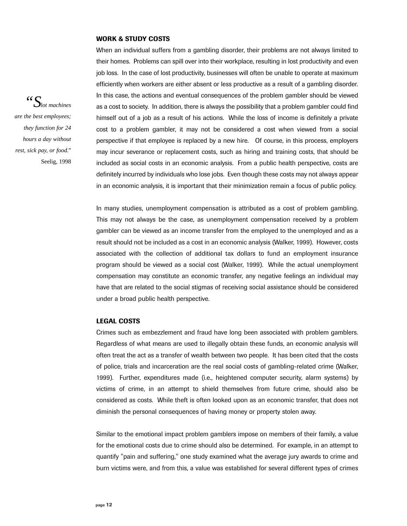#### **WORK & STUDY COSTS**

When an individual suffers from a gambling disorder, their problems are not always limited to their homes. Problems can spill over into their workplace, resulting in lost productivity and even job loss. In the case of lost productivity, businesses will often be unable to operate at maximum efficiently when workers are either absent or less productive as a result of a gambling disorder. In this case, the actions and eventual consequences of the problem gambler should be viewed as a cost to society. In addition, there is always the possibility that a problem gambler could find himself out of a job as a result of his actions. While the loss of income is definitely a private cost to a problem gambler, it may not be considered a cost when viewed from a social perspective if that employee is replaced by a new hire. Of course, in this process, employers may incur severance or replacement costs, such as hiring and training costs, that should be included as social costs in an economic analysis. From a public health perspective, costs are definitely incurred by individuals who lose jobs. Even though these costs may not always appear in an economic analysis, it is important that their minimization remain a focus of public policy.

In many studies, unemployment compensation is attributed as a cost of problem gambling. This may not always be the case, as unemployment compensation received by a problem gambler can be viewed as an income transfer from the employed to the unemployed and as a result should not be included as a cost in an economic analysis (Walker, 1999). However, costs associated with the collection of additional tax dollars to fund an employment insurance program should be viewed as a social cost (Walker, 1999). While the actual unemployment compensation may constitute an economic transfer, any negative feelings an individual may have that are related to the social stigmas of receiving social assistance should be considered under a broad public health perspective.

### **LEGAL COSTS**

Crimes such as embezzlement and fraud have long been associated with problem gamblers. Regardless of what means are used to illegally obtain these funds, an economic analysis will often treat the act as a transfer of wealth between two people. It has been cited that the costs of police, trials and incarceration are the real social costs of gambling-related crime (Walker, 1999). Further, expenditures made (i.e., heightened computer security, alarm systems) by victims of crime, in an attempt to shield themselves from future crime, should also be considered as costs. While theft is often looked upon as an economic transfer, that does not diminish the personal consequences of having money or property stolen away.

Similar to the emotional impact problem gamblers impose on members of their family, a value for the emotional costs due to crime should also be determined. For example, in an attempt to quantify "pain and suffering," one study examined what the average jury awards to crime and burn victims were, and from this, a value was established for several different types of crimes

*"Slot machines are the best employees; they function for 24 hours a day without rest, sick pay, or food."* Seelig, 1998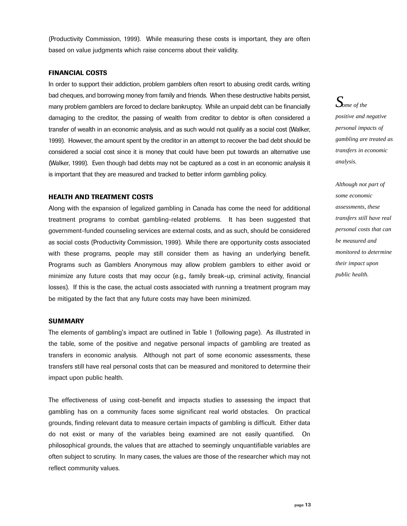(Productivity Commission, 1999). While measuring these costs is important, they are often based on value judgments which raise concerns about their validity.

### **FINANCIAL COSTS**

In order to support their addiction, problem gamblers often resort to abusing credit cards, writing bad cheques, and borrowing money from family and friends. When these destructive habits persist, many problem gamblers are forced to declare bankruptcy. While an unpaid debt can be financially damaging to the creditor, the passing of wealth from creditor to debtor is often considered a transfer of wealth in an economic analysis, and as such would not qualify as a social cost (Walker, 1999). However, the amount spent by the creditor in an attempt to recover the bad debt should be considered a social cost since it is money that could have been put towards an alternative use (Walker, 1999). Even though bad debts may not be captured as a cost in an economic analysis it is important that they are measured and tracked to better inform gambling policy.

### **HEALTH AND TREATMENT COSTS**

Along with the expansion of legalized gambling in Canada has come the need for additional treatment programs to combat gambling-related problems. It has been suggested that government-funded counseling services are external costs, and as such, should be considered as social costs (Productivity Commission, 1999). While there are opportunity costs associated with these programs, people may still consider them as having an underlying benefit. Programs such as Gamblers Anonymous may allow problem gamblers to either avoid or minimize any future costs that may occur (e.g., family break-up, criminal activity, financial losses). If this is the case, the actual costs associated with running a treatment program may be mitigated by the fact that any future costs may have been minimized.

### **SUMMARY**

The elements of gambling's impact are outlined in Table 1 (following page). As illustrated in the table, some of the positive and negative personal impacts of gambling are treated as transfers in economic analysis. Although not part of some economic assessments, these transfers still have real personal costs that can be measured and monitored to determine their impact upon public health.

The effectiveness of using cost-benefit and impacts studies to assessing the impact that gambling has on a community faces some significant real world obstacles. On practical grounds, finding relevant data to measure certain impacts of gambling is difficult. Either data do not exist or many of the variables being examined are not easily quantified. On philosophical grounds, the values that are attached to seemingly unquantifiable variables are often subject to scrutiny. In many cases, the values are those of the researcher which may not reflect community values.

### *Some of the*

*positive and negative personal impacts of gambling are treated as transfers in economic analysis.* 

*Although not part of some economic assessments, these transfers still have real personal costs that can be measured and monitored to determine their impact upon public health.*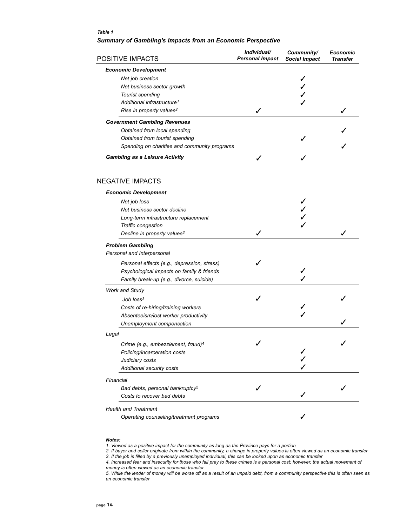### *Table 1 Summary of Gambling's Impacts from an Economic Perspective*

| POSITIVE IMPACTS                               | Individual/<br><b>Personal Impact</b> | Community/<br><b>Social Impact</b> | <b>Economic</b><br>Transfer |
|------------------------------------------------|---------------------------------------|------------------------------------|-----------------------------|
| <b>Economic Development</b>                    |                                       |                                    |                             |
| Net job creation                               |                                       |                                    |                             |
| Net business sector growth                     |                                       |                                    |                             |
| Tourist spending                               |                                       |                                    |                             |
| Additional infrastructure <sup>1</sup>         |                                       |                                    |                             |
| Rise in property values <sup>2</sup>           |                                       |                                    |                             |
| <b>Government Gambling Revenues</b>            |                                       |                                    |                             |
| Obtained from local spending                   |                                       |                                    |                             |
| Obtained from tourist spending                 |                                       |                                    |                             |
| Spending on charities and community programs   |                                       |                                    |                             |
| <b>Gambling as a Leisure Activity</b>          |                                       |                                    |                             |
| <b>NEGATIVE IMPACTS</b>                        |                                       |                                    |                             |
| <b>Economic Development</b>                    |                                       |                                    |                             |
| Net job loss                                   |                                       |                                    |                             |
| Net business sector decline                    |                                       |                                    |                             |
| Long-term infrastructure replacement           |                                       |                                    |                             |
| Traffic congestion                             |                                       |                                    |                             |
| Decline in property values <sup>2</sup>        |                                       |                                    |                             |
| <b>Problem Gambling</b>                        |                                       |                                    |                             |
| Personal and Interpersonal                     |                                       |                                    |                             |
| Personal effects (e.g., depression, stress)    |                                       |                                    |                             |
| Psychological impacts on family & friends      |                                       |                                    |                             |
| Family break-up (e.g., divorce, suicide)       |                                       |                                    |                             |
| Work and Study                                 |                                       |                                    |                             |
| Job loss <sup>3</sup>                          |                                       |                                    |                             |
| Costs of re-hiring/training workers            |                                       |                                    |                             |
| Absenteeism/lost worker productivity           |                                       |                                    |                             |
| Unemployment compensation                      |                                       |                                    |                             |
| Legal                                          |                                       |                                    |                             |
| Crime (e.g., embezzlement, fraud) <sup>4</sup> |                                       |                                    |                             |
| Policing/incarceration costs                   |                                       |                                    |                             |
| Judiciary costs                                |                                       |                                    |                             |
| Additional security costs                      |                                       |                                    |                             |
|                                                |                                       |                                    |                             |
| Financial                                      |                                       |                                    |                             |
| Bad debts, personal bankruptcy <sup>5</sup>    |                                       |                                    |                             |
| Costs to recover bad debts                     |                                       |                                    |                             |
| <b>Health and Treatment</b>                    |                                       |                                    |                             |
| Operating counseling/treatment programs        |                                       |                                    |                             |
|                                                |                                       |                                    |                             |

#### *Notes:*

*1. Viewed as a positive impact for the community as long as the Province pays for a portion*

*2. If buyer and seller originate from within the community, a change in property values is often viewed as an economic transfer 3. If the job is filled by a previously unemployed individual, this can be looked upon as economic transfer*

*4. Increased fear and insecurity for those who fall prey to these crimes is a personal cost; however, the actual movement of money is often viewed as an economic transfer*

*5. While the lender of money will be worse off as a result of an unpaid debt, from a community perspective this is often seen as an economic transfer*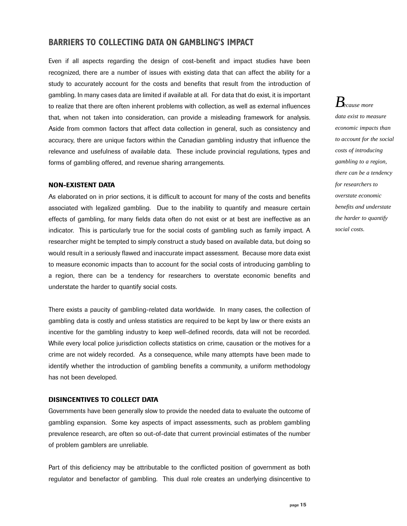### **BARRIERS TO COLLECTING DATA ON GAMBLING'S IMPACT**

Even if all aspects regarding the design of cost-benefit and impact studies have been recognized, there are a number of issues with existing data that can affect the ability for a study to accurately account for the costs and benefits that result from the introduction of gambling. In many cases data are limited if available at all. For data that do exist, it is important to realize that there are often inherent problems with collection, as well as external influences that, when not taken into consideration, can provide a misleading framework for analysis. Aside from common factors that affect data collection in general, such as consistency and accuracy, there are unique factors within the Canadian gambling industry that influence the relevance and usefulness of available data. These include provincial regulations, types and forms of gambling offered, and revenue sharing arrangements.

### **NON-EXISTENT DATA**

As elaborated on in prior sections, it is difficult to account for many of the costs and benefits associated with legalized gambling. Due to the inability to quantify and measure certain effects of gambling, for many fields data often do not exist or at best are ineffective as an indicator. This is particularly true for the social costs of gambling such as family impact. A researcher might be tempted to simply construct a study based on available data, but doing so would result in a seriously flawed and inaccurate impact assessment. Because more data exist to measure economic impacts than to account for the social costs of introducing gambling to a region, there can be a tendency for researchers to overstate economic benefits and understate the harder to quantify social costs.

There exists a paucity of gambling-related data worldwide. In many cases, the collection of gambling data is costly and unless statistics are required to be kept by law or there exists an incentive for the gambling industry to keep well-defined records, data will not be recorded. While every local police jurisdiction collects statistics on crime, causation or the motives for a crime are not widely recorded. As a consequence, while many attempts have been made to identify whether the introduction of gambling benefits a community, a uniform methodology has not been developed.

### **DISINCENTIVES TO COLLECT DATA**

Governments have been generally slow to provide the needed data to evaluate the outcome of gambling expansion. Some key aspects of impact assessments, such as problem gambling prevalence research, are often so out-of-date that current provincial estimates of the number of problem gamblers are unreliable.

Part of this deficiency may be attributable to the conflicted position of government as both regulator and benefactor of gambling. This dual role creates an underlying disincentive to

### *Because more data exist to measure economic impacts than to account for the social costs of introducing gambling to a region, there can be a tendency for researchers to overstate economic benefits and understate the harder to quantify social costs.*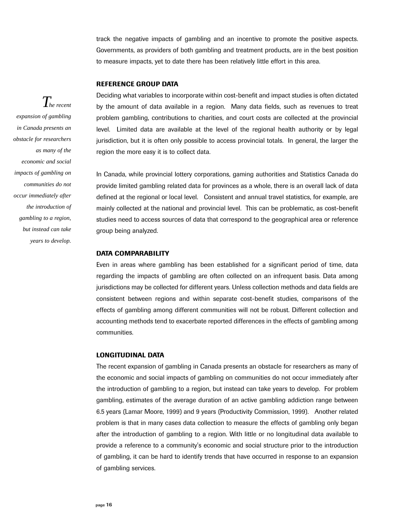track the negative impacts of gambling and an incentive to promote the positive aspects. Governments, as providers of both gambling and treatment products, are in the best position to measure impacts, yet to date there has been relatively little effort in this area.

### **REFERENCE GROUP DATA**

Deciding what variables to incorporate within cost-benefit and impact studies is often dictated by the amount of data available in a region. Many data fields, such as revenues to treat problem gambling, contributions to charities, and court costs are collected at the provincial level. Limited data are available at the level of the regional health authority or by legal jurisdiction, but it is often only possible to access provincial totals. In general, the larger the region the more easy it is to collect data.

In Canada, while provincial lottery corporations, gaming authorities and Statistics Canada do provide limited gambling related data for provinces as a whole, there is an overall lack of data defined at the regional or local level. Consistent and annual travel statistics, for example, are mainly collected at the national and provincial level. This can be problematic, as cost-benefit studies need to access sources of data that correspond to the geographical area or reference group being analyzed.

### **DATA COMPARABILITY**

Even in areas where gambling has been established for a significant period of time, data regarding the impacts of gambling are often collected on an infrequent basis. Data among jurisdictions may be collected for different years. Unless collection methods and data fields are consistent between regions and within separate cost-benefit studies, comparisons of the effects of gambling among different communities will not be robust. Different collection and accounting methods tend to exacerbate reported differences in the effects of gambling among communities.

### **LONGITUDINAL DATA**

The recent expansion of gambling in Canada presents an obstacle for researchers as many of the economic and social impacts of gambling on communities do not occur immediately after the introduction of gambling to a region, but instead can take years to develop. For problem gambling, estimates of the average duration of an active gambling addiction range between 6.5 years (Lamar Moore, 1999) and 9 years (Productivity Commission, 1999). Another related problem is that in many cases data collection to measure the effects of gambling only began after the introduction of gambling to a region. With little or no longitudinal data available to provide a reference to a community's economic and social structure prior to the introduction of gambling, it can be hard to identify trends that have occurred in response to an expansion of gambling services.

*The recent expansion of gambling in Canada presents an obstacle for researchers as many of the economic and social impacts of gambling on communities do not occur immediately after the introduction of gambling to a region, but instead can take years to develop.*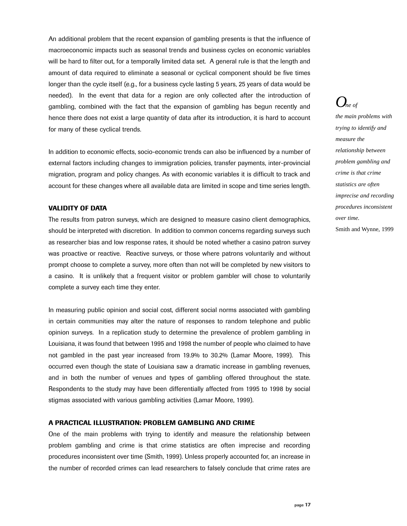An additional problem that the recent expansion of gambling presents is that the influence of macroeconomic impacts such as seasonal trends and business cycles on economic variables will be hard to filter out, for a temporally limited data set. A general rule is that the length and amount of data required to eliminate a seasonal or cyclical component should be five times longer than the cycle itself (e.g., for a business cycle lasting 5 years, 25 years of data would be needed). In the event that data for a region are only collected after the introduction of gambling, combined with the fact that the expansion of gambling has begun recently and hence there does not exist a large quantity of data after its introduction, it is hard to account for many of these cyclical trends.

In addition to economic effects, socio-economic trends can also be influenced by a number of external factors including changes to immigration policies, transfer payments, inter-provincial migration, program and policy changes. As with economic variables it is difficult to track and account for these changes where all available data are limited in scope and time series length.

### **VALIDITY OF DATA**

The results from patron surveys, which are designed to measure casino client demographics, should be interpreted with discretion. In addition to common concerns regarding surveys such as researcher bias and low response rates, it should be noted whether a casino patron survey was proactive or reactive. Reactive surveys, or those where patrons voluntarily and without prompt choose to complete a survey, more often than not will be completed by new visitors to a casino. It is unlikely that a frequent visitor or problem gambler will chose to voluntarily complete a survey each time they enter.

In measuring public opinion and social cost, different social norms associated with gambling in certain communities may alter the nature of responses to random telephone and public opinion surveys. In a replication study to determine the prevalence of problem gambling in Louisiana, it was found that between 1995 and 1998 the number of people who claimed to have not gambled in the past year increased from 19.9% to 30.2% (Lamar Moore, 1999). This occurred even though the state of Louisiana saw a dramatic increase in gambling revenues, and in both the number of venues and types of gambling offered throughout the state. Respondents to the study may have been differentially affected from 1995 to 1998 by social stigmas associated with various gambling activities (Lamar Moore, 1999).

#### **A PRACTICAL ILLUSTRATION: PROBLEM GAMBLING AND CRIME**

One of the main problems with trying to identify and measure the relationship between problem gambling and crime is that crime statistics are often imprecise and recording procedures inconsistent over time (Smith, 1999). Unless properly accounted for, an increase in the number of recorded crimes can lead researchers to falsely conclude that crime rates are

### $O_{\tiny{ne of}}$

*the main problems with trying to identify and measure the relationship between problem gambling and crime is that crime statistics are often imprecise and recording procedures inconsistent over time.* Smith and Wynne, 1999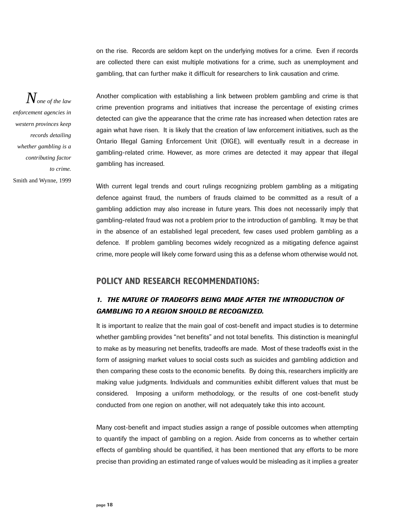on the rise. Records are seldom kept on the underlying motives for a crime. Even if records are collected there can exist multiple motivations for a crime, such as unemployment and gambling, that can further make it difficult for researchers to link causation and crime.

*None of the law enforcement agencies in western provinces keep records detailing whether gambling is a contributing factor to crime.*  Smith and Wynne, 1999

Another complication with establishing a link between problem gambling and crime is that crime prevention programs and initiatives that increase the percentage of existing crimes detected can give the appearance that the crime rate has increased when detection rates are again what have risen. It is likely that the creation of law enforcement initiatives, such as the Ontario Illegal Gaming Enforcement Unit (OIGE), will eventually result in a decrease in gambling-related crime. However, as more crimes are detected it may appear that illegal gambling has increased.

With current legal trends and court rulings recognizing problem gambling as a mitigating defence against fraud, the numbers of frauds claimed to be committed as a result of a gambling addiction may also increase in future years. This does not necessarily imply that gambling-related fraud was not a problem prior to the introduction of gambling. It may be that in the absence of an established legal precedent, few cases used problem gambling as a defence. If problem gambling becomes widely recognized as a mitigating defence against crime, more people will likely come forward using this as a defense whom otherwise would not.

### **POLICY AND RESEARCH RECOMMENDATIONS:**

### *1. THE NATURE OF TRADEOFFS BEING MADE AFTER THE INTRODUCTION OF GAMBLING TO A REGION SHOULD BE RECOGNIZED.*

It is important to realize that the main goal of cost-benefit and impact studies is to determine whether gambling provides "net benefits" and not total benefits. This distinction is meaningful to make as by measuring net benefits, tradeoffs are made. Most of these tradeoffs exist in the form of assigning market values to social costs such as suicides and gambling addiction and then comparing these costs to the economic benefits. By doing this, researchers implicitly are making value judgments. Individuals and communities exhibit different values that must be considered. Imposing a uniform methodology, or the results of one cost-benefit study conducted from one region on another, will not adequately take this into account.

Many cost-benefit and impact studies assign a range of possible outcomes when attempting to quantify the impact of gambling on a region. Aside from concerns as to whether certain effects of gambling should be quantified, it has been mentioned that any efforts to be more precise than providing an estimated range of values would be misleading as it implies a greater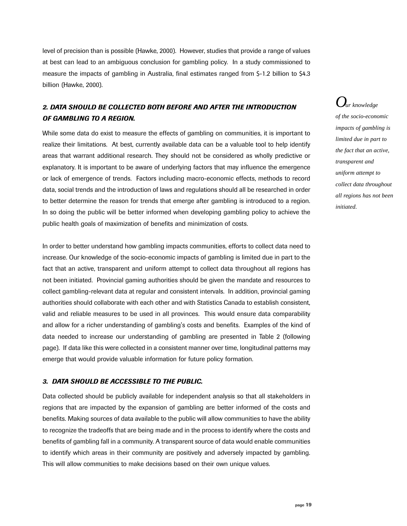level of precision than is possible (Hawke, 2000). However, studies that provide a range of values at best can lead to an ambiguous conclusion for gambling policy. In a study commissioned to measure the impacts of gambling in Australia, final estimates ranged from \$-1.2 billion to \$4.3 billion (Hawke, 2000).

### *2. DATA SHOULD BE COLLECTED BOTH BEFORE AND AFTER THE INTRODUCTION OF GAMBLING TO A REGION.*

While some data do exist to measure the effects of gambling on communities, it is important to realize their limitations. At best, currently available data can be a valuable tool to help identify areas that warrant additional research. They should not be considered as wholly predictive or explanatory. It is important to be aware of underlying factors that may influence the emergence or lack of emergence of trends. Factors including macro-economic effects, methods to record data, social trends and the introduction of laws and regulations should all be researched in order to better determine the reason for trends that emerge after gambling is introduced to a region. In so doing the public will be better informed when developing gambling policy to achieve the public health goals of maximization of benefits and minimization of costs.

In order to better understand how gambling impacts communities, efforts to collect data need to increase. Our knowledge of the socio-economic impacts of gambling is limited due in part to the fact that an active, transparent and uniform attempt to collect data throughout all regions has not been initiated. Provincial gaming authorities should be given the mandate and resources to collect gambling-relevant data at regular and consistent intervals. In addition, provincial gaming authorities should collaborate with each other and with Statistics Canada to establish consistent, valid and reliable measures to be used in all provinces. This would ensure data comparability and allow for a richer understanding of gambling's costs and benefits. Examples of the kind of data needed to increase our understanding of gambling are presented in Table 2 (following page). If data like this were collected in a consistent manner over time, longitudinal patterns may emerge that would provide valuable information for future policy formation.

### *3. DATA SHOULD BE ACCESSIBLE TO THE PUBLIC.*

Data collected should be publicly available for independent analysis so that all stakeholders in regions that are impacted by the expansion of gambling are better informed of the costs and benefits. Making sources of data available to the public will allow communities to have the ability to recognize the tradeoffs that are being made and in the process to identify where the costs and benefits of gambling fall in a community. A transparent source of data would enable communities to identify which areas in their community are positively and adversely impacted by gambling. This will allow communities to make decisions based on their own unique values.

*Our knowledge of the socio-economic impacts of gambling is limited due in part to the fact that an active, transparent and uniform attempt to collect data throughout all regions has not been initiated.*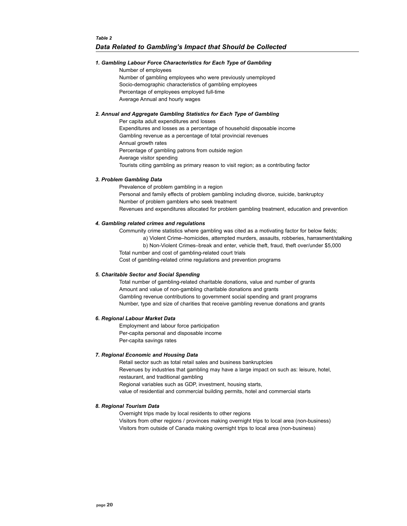### *1. Gambling Labour Force Characteristics for Each Type of Gambling*

Number of employees Number of gambling employees who were previously unemployed Socio-demographic characteristics of gambling employees Percentage of employees employed full-time Average Annual and hourly wages

### *2. Annual and Aggregate Gambling Statistics for Each Type of Gambling*

Per capita adult expenditures and losses Expenditures and losses as a percentage of household disposable income Gambling revenue as a percentage of total provincial revenues Annual growth rates Percentage of gambling patrons from outside region Average visitor spending Tourists citing gambling as primary reason to visit region; as a contributing factor

### *3. Problem Gambling Data*

Prevalence of problem gambling in a region Personal and family effects of problem gambling including divorce, suicide, bankruptcy Number of problem gamblers who seek treatment Revenues and expenditures allocated for problem gambling treatment, education and prevention

### *4. Gambling related crimes and regulations*

Community crime statistics where gambling was cited as a motivating factor for below fields;

a) Violent Crime-homicides, attempted murders, assaults, robberies, harrasment/stalking

b) Non-Violent Crimes-break and enter, vehicle theft, fraud, theft over/under \$5,000 Total number and cost of gambling-related court trials

Cost of gambling-related crime regulations and prevention programs

#### *5. Charitable Sector and Social Spending*

Total number of gambling-related charitable donations, value and number of grants Amount and value of non-gambling charitable donations and grants Gambling revenue contributions to government social spending and grant programs Number, type and size of charities that receive gambling revenue donations and grants

#### *6. Regional Labour Market Data*

Employment and labour force participation Per-capita personal and disposable income Per-capita savings rates

#### *7. Regional Economic and Housing Data*

Retail sector such as total retail sales and business bankruptcies Revenues by industries that gambling may have a large impact on such as: leisure, hotel, restaurant, and traditional gambling Regional variables such as GDP, investment, housing starts, value of residential and commercial building permits, hotel and commercial starts

#### *8. Regional Tourism Data*

Overnight trips made by local residents to other regions Visitors from other regions / provinces making overnight trips to local area (non-business) Visitors from outside of Canada making overnight trips to local area (non-business)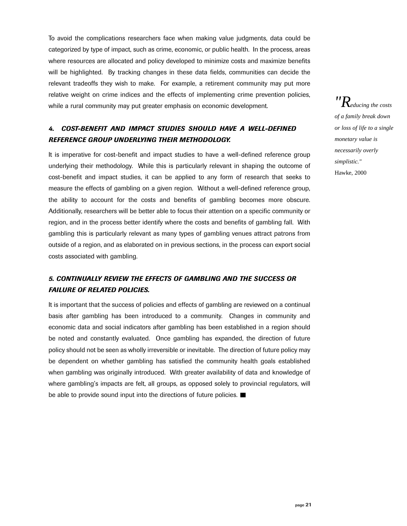To avoid the complications researchers face when making value judgments, data could be categorized by type of impact, such as crime, economic, or public health. In the process, areas where resources are allocated and policy developed to minimize costs and maximize benefits will be highlighted. By tracking changes in these data fields, communities can decide the relevant tradeoffs they wish to make. For example, a retirement community may put more relative weight on crime indices and the effects of implementing crime prevention policies, while a rural community may put greater emphasis on economic development.

### *4. COST-BENEFIT AND IMPACT STUDIES SHOULD HAVE A WELL-DEFINED REFERENCE GROUP UNDERLYING THEIR METHODOLOGY.*

It is imperative for cost-benefit and impact studies to have a well-defined reference group underlying their methodology. While this is particularly relevant in shaping the outcome of cost-benefit and impact studies, it can be applied to any form of research that seeks to measure the effects of gambling on a given region. Without a well-defined reference group, the ability to account for the costs and benefits of gambling becomes more obscure. Additionally, researchers will be better able to focus their attention on a specific community or region, and in the process better identify where the costs and benefits of gambling fall. With gambling this is particularly relevant as many types of gambling venues attract patrons from outside of a region, and as elaborated on in previous sections, in the process can export social costs associated with gambling.

### *5. CONTINUALLY REVIEW THE EFFECTS OF GAMBLING AND THE SUCCESS OR FAILURE OF RELATED POLICIES.*

It is important that the success of policies and effects of gambling are reviewed on a continual basis after gambling has been introduced to a community. Changes in community and economic data and social indicators after gambling has been established in a region should be noted and constantly evaluated. Once gambling has expanded, the direction of future policy should not be seen as wholly irreversible or inevitable. The direction of future policy may be dependent on whether gambling has satisfied the community health goals established when gambling was originally introduced. With greater availability of data and knowledge of where gambling's impacts are felt, all groups, as opposed solely to provincial regulators, will be able to provide sound input into the directions of future policies.

*"Reducing the costs of a family break down or loss of life to a single monetary value is necessarily overly simplistic."* Hawke, 2000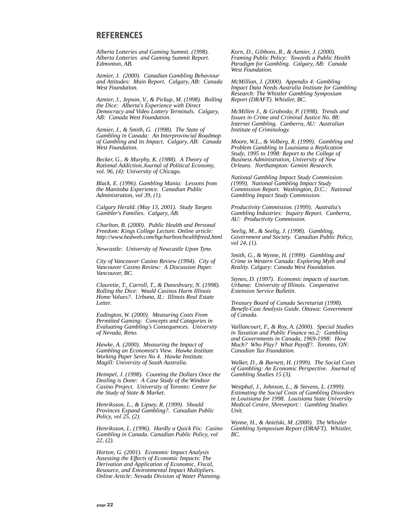### **REFERENCES**

*Alberta Lotteries and Gaming Summit. (1998). Alberta Lotteries and Gaming Summit Report. Edmonton, AB.*

*Azmier, J. (2000). Canadian Gambling Behaviour and Attitudes: Main Report. Calgary, AB: Canada West Foundation.*

*Azmier, J., Jepson, V., & Pickup, M. (1998). Rolling the Dice: Alberta's Experience with Direct Democracy and Video Lottery Terminals. Calgary, AB: Canada West Foundation.*

*Azmier, J., & Smith, G. (1998). The State of Gambling in Canada: An Interprovincial Roadmap of Gambling and its Impact. Calgary, AB: Canada West Foundation.*

*Becker, G., & Murphy, K. (1988). A Theory of Rational Addiction.Journal of Political Economy, vol. 96, (4): University of Chicago.*

*Black, E. (1996). Gambling Mania: Lessons from the Manitoba Experience. Canadian Public Administration, vol 39, (1).*

*Calgary Herald. (May 13, 2001). Study Targets Gambler's Families. Calgary, AB.*

*Charlton, B. (2000). Public Health and Personal Freedom: Kings College Lecture. Online article: http://www.hedweb.com/bgcharlton/healthfreed.html*

*. Newcastle: University of Newcastle Upon Tyne.*

*City of Vancouver Casino Review (1994). City of Vancouver Casino Review: A Discussion Paper. Vancouver, BC.*

*Clauretie, T., Carroll, T., & Daneshvary, N. (1998). Rolling the Dice: Would Casinos Harm Illinois Home Values?. Urbana, IL: Illinois Real Estate Letter.*

*Eadington, W. (2000). Measuring Costs From Permitted Gaming: Concepts and Categories in Evaluating Gambling's Consequences. University of Nevada, Reno.* 

*Hawke, A. (2000). Measuring the Impact of Gambling an Economist's View. Hawke Institute Working Paper Seres No 4. Hawke Institute. Magill: University of South Australia.*

*Heimpel, J. (1998). Counting the Dollars Once the Dealing is Done: A Case Study of the Windsor Casino Project. University of Toronto: Centre for the Study of State & Market.*

*Henriksson, L., & Lipsey, R. (1999). Should Provinces Expand Gambling?. Canadian Public Policy, vol 25, (2).* 

*Henriksson, L. (1996). Hardly a Quick Fix: Casino Gambling in Canada. Canadian Public Policy, vol 22, (2).* 

*Horton, G. (2001). Economic Impact Analysis Assessing the Effects of Economic Impacts: The Derivation and Application of Economic, Fiscal, Resource, and Environmental Impact Multipliers. Online Article: Nevada Division of Water Planning.* 

*Korn, D., Gibbons, R., & Azmier, J. (2000). Framing Public Policy: Towards a Public Health Paradigm for Gambling. Calgary, AB: Canada West Foundation.*

*McMillian, J. (2000). Appendix 4: Gambling Impact Data Needs Australia Institute for Gambling Research: The Whistler Gambling Symposium Report (DRAFT). Whistler, BC.*

*McMillen J., & Grabosky, P. (1998). Trends and Issues in Crime and Criminal Justice No. 88: Internet Gambling. Canberra, AU: Australian Institute of Criminology.*

*Moore, W.L., & Volberg, R. (1999). Gambling and Problem Gambling in Louisiana a Replication Study, 1995 to 1998: Report to the College of Business Administration, University of New Orleans. Northampton: Gemini Research.*

*National Gambling Impact Study Commission. (1999). National Gambling Impact Study Commission Report. Washington, D.C.: National Gambling Impact Study Commission.*

*Productivity Commission. (1999). Australia's Gambling Industries: Inquiry Report. Canberra, AU: Productivity Commission.*

*Seelig, M., & Seelig, J. (1998). Gambling, Government and Society. Canadian Public Policy, vol 24, (1).* 

*Smith, G., & Wynne, H. (1999). Gambling and Crime in Western Canada: Exploring Myth and Reality. Calgary: Canada West Foundation.*

*Stynes, D. (1997). Economic impacts of tourism. Urbana: University of Illinois. Cooperative Extension Service Bulletin.*

*Treasury Board of Canada Secretariat (1998). Benefit-Cost Analysis Guide. Ottawa: Government of Canada.*

*Vaillancourt, F., & Roy, A. (2000). Special Studies in Taxation and Public Finance no.2: Gambling and Governments in Canada, 1969-1998: How Much? Who Play? What Payoff?. Toronto, ON: Canadian Tax Foundation.*

*Walker, D., & Barnett, H. (1999). The Social Costs of Gambling: An Economic Perspective. Journal of Gambling Studies 15 (3).* 

*Westphal, J., Johnson, L., & Stevens, L. (1999). Estimating the Social Costs of Gambling Disorders in Louisiana for 1998. Louisiana State University Medical Centre, Shreveport:: Gambling Studies Unit.*

*Wynne, H., & Anielski, M. (2000). The Whistler Gambling Symposium Report (DRAFT). Whistler, BC.*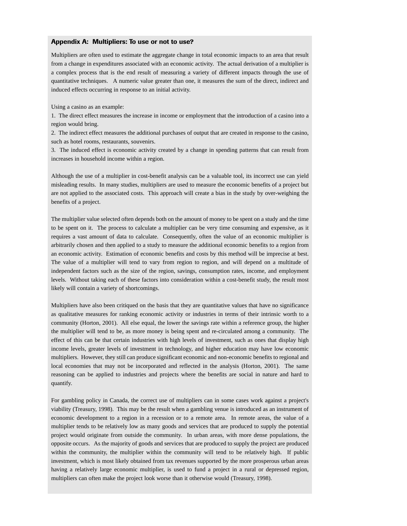### **Appendix A: Multipliers: To use or not to use?**

Multipliers are often used to estimate the aggregate change in total economic impacts to an area that result from a change in expenditures associated with an economic activity. The actual derivation of a multiplier is a complex process that is the end result of measuring a variety of different impacts through the use of quantitative techniques. A numeric value greater than one, it measures the sum of the direct, indirect and induced effects occurring in response to an initial activity.

Using a casino as an example:

1. The direct effect measures the increase in income or employment that the introduction of a casino into a region would bring.

2. The indirect effect measures the additional purchases of output that are created in response to the casino, such as hotel rooms, restaurants, souvenirs.

3. The induced effect is economic activity created by a change in spending patterns that can result from increases in household income within a region.

Although the use of a multiplier in cost-benefit analysis can be a valuable tool, its incorrect use can yield misleading results. In many studies, multipliers are used to measure the economic benefits of a project but are not applied to the associated costs. This approach will create a bias in the study by over-weighing the benefits of a project.

The multiplier value selected often depends both on the amount of money to be spent on a study and the time to be spent on it. The process to calculate a multiplier can be very time consuming and expensive, as it requires a vast amount of data to calculate. Consequently, often the value of an economic multiplier is arbitrarily chosen and then applied to a study to measure the additional economic benefits to a region from an economic activity. Estimation of economic benefits and costs by this method will be imprecise at best. The value of a multiplier will tend to vary from region to region, and will depend on a multitude of independent factors such as the size of the region, savings, consumption rates, income, and employment levels. Without taking each of these factors into consideration within a cost-benefit study, the result most likely will contain a variety of shortcomings.

Multipliers have also been critiqued on the basis that they are quantitative values that have no significance as qualitative measures for ranking economic activity or industries in terms of their intrinsic worth to a community (Horton, 2001). All else equal, the lower the savings rate within a reference group, the higher the multiplier will tend to be, as more money is being spent and re-circulated among a community. The effect of this can be that certain industries with high levels of investment, such as ones that display high income levels, greater levels of investment in technology, and higher education may have low economic multipliers. However, they still can produce significant economic and non-economic benefits to regional and local economies that may not be incorporated and reflected in the analysis (Horton, 2001). The same reasoning can be applied to industries and projects where the benefits are social in nature and hard to quantify.

For gambling policy in Canada, the correct use of multipliers can in some cases work against a project's viability (Treasury, 1998). This may be the result when a gambling venue is introduced as an instrument of economic development to a region in a recession or to a remote area. In remote areas, the value of a multiplier tends to be relatively low as many goods and services that are produced to supply the potential project would originate from outside the community. In urban areas, with more dense populations, the opposite occurs. As the majority of goods and services that are produced to supply the project are produced within the community, the multiplier within the community will tend to be relatively high. If public investment, which is most likely obtained from tax revenues supported by the more prosperous urban areas having a relatively large economic multiplier, is used to fund a project in a rural or depressed region, multipliers can often make the project look worse than it otherwise would (Treasury, 1998).